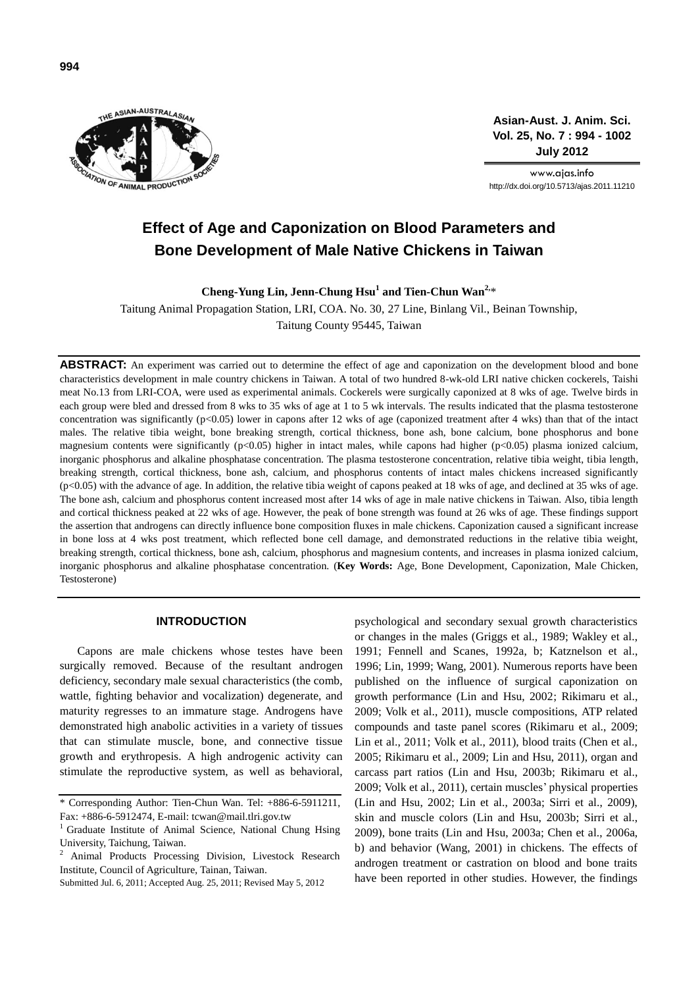

**Asian-Aust. J. Anim. Sci. Vol. 25, No. 7 : 994 - 1002 July 2012**

www.ajas.info http://dx.doi.org/10.5713/ajas.2011.11210

# **Effect of Age and Caponization on Blood Parameters and Bone Development of Male Native Chickens in Taiwan**

**Cheng-Yung Lin, Jenn-Chung Hsu<sup>1</sup> and Tien-Chun Wan2,**\*

Taitung Animal Propagation Station, LRI, COA. No. 30, 27 Line, Binlang Vil., Beinan Township, Taitung County 95445, Taiwan

ABSTRACT: An experiment was carried out to determine the effect of age and caponization on the development blood and bone characteristics development in male country chickens in Taiwan. A total of two hundred 8-wk-old LRI native chicken cockerels, Taishi meat No.13 from LRI-COA, were used as experimental animals. Cockerels were surgically caponized at 8 wks of age. Twelve birds in each group were bled and dressed from 8 wks to 35 wks of age at 1 to 5 wk intervals. The results indicated that the plasma testosterone concentration was significantly (p<0.05) lower in capons after 12 wks of age (caponized treatment after 4 wks) than that of the intact males. The relative tibia weight, bone breaking strength, cortical thickness, bone ash, bone calcium, bone phosphorus and bone magnesium contents were significantly (p<0.05) higher in intact males, while capons had higher (p<0.05) plasma ionized calcium, inorganic phosphorus and alkaline phosphatase concentration. The plasma testosterone concentration, relative tibia weight, tibia length, breaking strength, cortical thickness, bone ash, calcium, and phosphorus contents of intact males chickens increased significantly (p<0.05) with the advance of age. In addition, the relative tibia weight of capons peaked at 18 wks of age, and declined at 35 wks of age. The bone ash, calcium and phosphorus content increased most after 14 wks of age in male native chickens in Taiwan. Also, tibia length and cortical thickness peaked at 22 wks of age. However, the peak of bone strength was found at 26 wks of age. These findings support the assertion that androgens can directly influence bone composition fluxes in male chickens. Caponization caused a significant increase in bone loss at 4 wks post treatment, which reflected bone cell damage, and demonstrated reductions in the relative tibia weight, breaking strength, cortical thickness, bone ash, calcium, phosphorus and magnesium contents, and increases in plasma ionized calcium, inorganic phosphorus and alkaline phosphatase concentration. (**Key Words:** Age, Bone Development, Caponization, Male Chicken, Testosterone)

# **INTRODUCTION**

Capons are male chickens whose testes have been surgically removed. Because of the resultant androgen deficiency, secondary male sexual characteristics (the comb, wattle, fighting behavior and vocalization) degenerate, and maturity regresses to an immature stage. Androgens have demonstrated high anabolic activities in a variety of tissues that can stimulate muscle, bone, and connective tissue growth and erythropesis. A high androgenic activity can stimulate the reproductive system, as well as behavioral,

psychological and secondary sexual growth characteristics or changes in the males (Griggs et al., 1989; Wakley et al., 1991; Fennell and Scanes, 1992a, b; Katznelson et al., 1996; Lin, 1999; Wang, 2001). Numerous reports have been published on the influence of surgical caponization on growth performance (Lin and Hsu, 2002; Rikimaru et al., 2009; Volk et al., 2011), muscle compositions, ATP related compounds and taste panel scores (Rikimaru et al., 2009; Lin et al., 2011; Volk et al., 2011), blood traits (Chen et al., 2005; Rikimaru et al., 2009; Lin and Hsu, 2011), organ and carcass part ratios (Lin and Hsu, 2003b; Rikimaru et al., 2009; Volk et al., 2011), certain muscles' physical properties (Lin and Hsu, 2002; Lin et al., 2003a; Sirri et al., 2009), skin and muscle colors (Lin and Hsu, 2003b; Sirri et al., 2009), bone traits (Lin and Hsu, 2003a; Chen et al., 2006a, b) and behavior (Wang, 2001) in chickens. The effects of androgen treatment or castration on blood and bone traits have been reported in other studies. However, the findings

<sup>\*</sup> Corresponding Author: Tien-Chun Wan. Tel: +886-6-5911211, Fax: +886-6-5912474, E-mail[: tcwan@mail.tlri.gov.tw](mailto:tcwan@mail.tlri.gov.tw)

<sup>&</sup>lt;sup>1</sup> Graduate Institute of Animal Science, National Chung Hsing University, Taichung, Taiwan.

<sup>2</sup> Animal Products Processing Division, Livestock Research Institute, Council of Agriculture, Tainan, Taiwan.

Submitted Jul. 6, 2011; Accepted Aug. 25, 2011; Revised May 5, 2012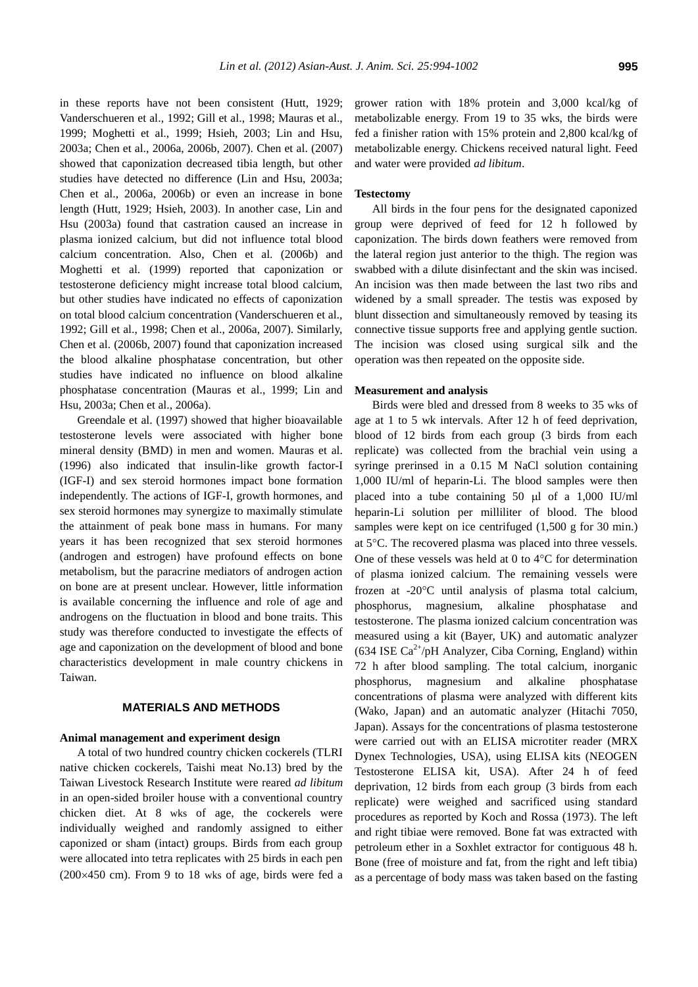in these reports have not been consistent (Hutt, 1929; Vanderschueren et al., 1992; Gill et al., 1998; Mauras et al., 1999; Moghetti et al., 1999; Hsieh, 2003; Lin and Hsu, 2003a; Chen et al., 2006a, 2006b, 2007). Chen et al. (2007) showed that caponization decreased tibia length, but other studies have detected no difference (Lin and Hsu, 2003a; Chen et al., 2006a, 2006b) or even an increase in bone length (Hutt, 1929; Hsieh, 2003). In another case, Lin and Hsu (2003a) found that castration caused an increase in plasma ionized calcium, but did not influence total blood calcium concentration. Also, Chen et al. (2006b) and Moghetti et al. (1999) reported that caponization or testosterone deficiency might increase total blood calcium, but other studies have indicated no effects of caponization on total blood calcium concentration (Vanderschueren et al., 1992; Gill et al., 1998; Chen et al., 2006a, 2007). Similarly, Chen et al. (2006b, 2007) found that caponization increased the blood alkaline phosphatase concentration, but other studies have indicated no influence on blood alkaline phosphatase concentration (Mauras et al., 1999; Lin and Hsu, 2003a; Chen et al., 2006a).

Greendale et al. (1997) showed that higher bioavailable testosterone levels were associated with higher bone mineral density (BMD) in men and women. Mauras et al. (1996) also indicated that insulin-like growth factor-I (IGF-I) and sex steroid hormones impact bone formation independently. The actions of IGF-I, growth hormones, and sex steroid hormones may synergize to maximally stimulate the attainment of peak bone mass in humans. For many years it has been recognized that sex steroid hormones (androgen and estrogen) have profound effects on bone metabolism, but the paracrine mediators of androgen action on bone are at present unclear. However, little information is available concerning the influence and role of age and androgens on the fluctuation in blood and bone traits. This study was therefore conducted to investigate the effects of age and caponization on the development of blood and bone characteristics development in male country chickens in Taiwan.

# **MATERIALS AND METHODS**

# **Animal management and experiment design**

A total of two hundred country chicken cockerels (TLRI native chicken cockerels, Taishi meat No.13) bred by the Taiwan Livestock Research Institute were reared *ad libitum* in an open-sided broiler house with a conventional country chicken diet. At 8 wks of age, the cockerels were individually weighed and randomly assigned to either caponized or sham (intact) groups. Birds from each group were allocated into tetra replicates with 25 birds in each pen  $(200\times450$  cm). From 9 to 18 wks of age, birds were fed a grower ration with 18% protein and 3,000 kcal/kg of metabolizable energy. From 19 to 35 wks, the birds were fed a finisher ration with 15% protein and 2,800 kcal/kg of metabolizable energy. Chickens received natural light. Feed and water were provided *ad libitum*.

# **Testectomy**

All birds in the four pens for the designated caponized group were deprived of feed for 12 h followed by caponization. The birds down feathers were removed from the lateral region just anterior to the thigh. The region was swabbed with a dilute disinfectant and the skin was incised. An incision was then made between the last two ribs and widened by a small spreader. The testis was exposed by blunt dissection and simultaneously removed by teasing its connective tissue supports free and applying gentle suction. The incision was closed using surgical silk and the operation was then repeated on the opposite side.

### **Measurement and analysis**

Birds were bled and dressed from 8 weeks to 35 wks of age at 1 to 5 wk intervals. After 12 h of feed deprivation, blood of 12 birds from each group (3 birds from each replicate) was collected from the brachial vein using a syringe prerinsed in a 0.15 M NaCl solution containing 1,000 IU/ml of heparin-Li. The blood samples were then placed into a tube containing 50  $\mu$ l of a 1,000 IU/ml heparin-Li solution per milliliter of blood. The blood samples were kept on ice centrifuged (1,500 g for 30 min.) at 5°C. The recovered plasma was placed into three vessels. One of these vessels was held at  $0$  to  $4^{\circ}$ C for determination of plasma ionized calcium. The remaining vessels were frozen at -20C until analysis of plasma total calcium, phosphorus, magnesium, alkaline phosphatase and testosterone. The plasma ionized calcium concentration was measured using a kit (Bayer, UK) and automatic analyzer  $(634 \text{ ISE Ca}^{2+}/pH \text{ Analyzer}, \text{Ciba Corning}, \text{England})$  within 72 h after blood sampling. The total calcium, inorganic phosphorus, magnesium and alkaline phosphatase concentrations of plasma were analyzed with different kits (Wako, Japan) and an automatic analyzer (Hitachi 7050, Japan). Assays for the concentrations of plasma testosterone were carried out with an ELISA microtiter reader (MRX Dynex Technologies, USA), using ELISA kits (NEOGEN Testosterone ELISA kit, USA). After 24 h of feed deprivation, 12 birds from each group (3 birds from each replicate) were weighed and sacrificed using standard procedures as reported by Koch and Rossa (1973). The left and right tibiae were removed. Bone fat was extracted with petroleum ether in a Soxhlet extractor for contiguous 48 h. Bone (free of moisture and fat, from the right and left tibia) as a percentage of body mass was taken based on the fasting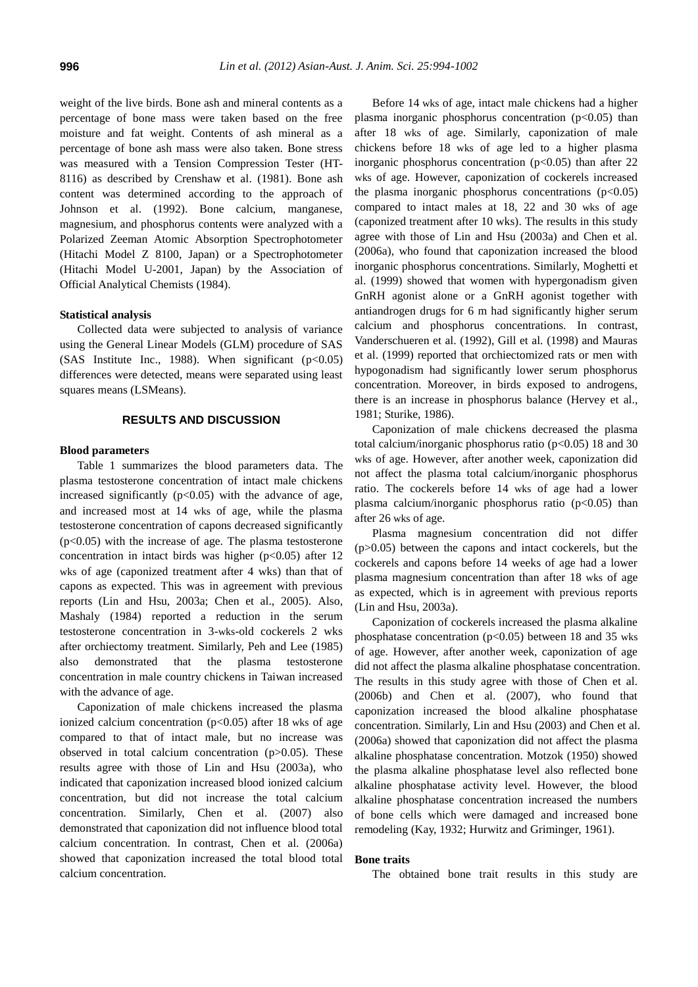weight of the live birds. Bone ash and mineral contents as a percentage of bone mass were taken based on the free moisture and fat weight. Contents of ash mineral as a percentage of bone ash mass were also taken. Bone stress was measured with a Tension Compression Tester (HT-8116) as described by Crenshaw et al. (1981). Bone ash content was determined according to the approach of Johnson et al. (1992). Bone calcium, manganese, magnesium, and phosphorus contents were analyzed with a Polarized Zeeman Atomic Absorption Spectrophotometer (Hitachi Model Z 8100, Japan) or a Spectrophotometer (Hitachi Model U-2001, Japan) by the Association of Official Analytical Chemists (1984).

# **Statistical analysis**

Collected data were subjected to analysis of variance using the General Linear Models (GLM) procedure of SAS (SAS Institute Inc., 1988). When significant  $(p<0.05)$ differences were detected, means were separated using least squares means (LSMeans).

# **RESULTS AND DISCUSSION**

### **Blood parameters**

Table 1 summarizes the blood parameters data. The plasma testosterone concentration of intact male chickens increased significantly  $(p<0.05)$  with the advance of age, and increased most at 14 wks of age, while the plasma testosterone concentration of capons decreased significantly  $(p<0.05)$  with the increase of age. The plasma testosterone concentration in intact birds was higher ( $p<0.05$ ) after 12 wks of age (caponized treatment after 4 wks) than that of capons as expected. This was in agreement with previous reports (Lin and Hsu, 2003a; Chen et al., 2005). Also, Mashaly (1984) reported a reduction in the serum testosterone concentration in 3-wks-old cockerels 2 wks after orchiectomy treatment. Similarly, Peh and Lee (1985) also demonstrated that the plasma testosterone concentration in male country chickens in Taiwan increased with the advance of age.

Caponization of male chickens increased the plasma ionized calcium concentration ( $p<0.05$ ) after 18 wks of age compared to that of intact male, but no increase was observed in total calcium concentration  $(p>0.05)$ . These results agree with those of Lin and Hsu (2003a), who indicated that caponization increased blood ionized calcium concentration, but did not increase the total calcium concentration. Similarly, Chen et al. (2007) also demonstrated that caponization did not influence blood total calcium concentration. In contrast, Chen et al. (2006a) showed that caponization increased the total blood total calcium concentration.

Before 14 wks of age, intact male chickens had a higher plasma inorganic phosphorus concentration  $(p<0.05)$  than after 18 wks of age. Similarly, caponization of male chickens before 18 wks of age led to a higher plasma inorganic phosphorus concentration  $(p<0.05)$  than after 22 wks of age. However, caponization of cockerels increased the plasma inorganic phosphorus concentrations  $(p<0.05)$ compared to intact males at 18, 22 and 30 wks of age (caponized treatment after 10 wks). The results in this study agree with those of Lin and Hsu (2003a) and Chen et al. (2006a), who found that caponization increased the blood inorganic phosphorus concentrations. Similarly, Moghetti et al. (1999) showed that women with hypergonadism given GnRH agonist alone or a GnRH agonist together with antiandrogen drugs for 6 m had significantly higher serum calcium and phosphorus concentrations. In contrast, Vanderschueren et al. (1992), Gill et al. (1998) and Mauras et al. (1999) reported that orchiectomized rats or men with hypogonadism had significantly lower serum phosphorus concentration. Moreover, in birds exposed to androgens, there is an increase in phosphorus balance (Hervey et al., 1981; Sturike, 1986).

Caponization of male chickens decreased the plasma total calcium/inorganic phosphorus ratio ( $p<0.05$ ) 18 and 30 wks of age. However, after another week, caponization did not affect the plasma total calcium/inorganic phosphorus ratio. The cockerels before 14 wks of age had a lower plasma calcium/inorganic phosphorus ratio  $(p<0.05)$  than after 26 wks of age.

Plasma magnesium concentration did not differ (p>0.05) between the capons and intact cockerels, but the cockerels and capons before 14 weeks of age had a lower plasma magnesium concentration than after 18 wks of age as expected, which is in agreement with previous reports (Lin and Hsu, 2003a).

Caponization of cockerels increased the plasma alkaline phosphatase concentration (p<0.05) between 18 and 35 wks of age. However, after another week, caponization of age did not affect the plasma alkaline phosphatase concentration. The results in this study agree with those of Chen et al. (2006b) and Chen et al. (2007), who found that caponization increased the blood alkaline phosphatase concentration. Similarly, Lin and Hsu (2003) and Chen et al. (2006a) showed that caponization did not affect the plasma alkaline phosphatase concentration. Motzok (1950) showed the plasma alkaline phosphatase level also reflected bone alkaline phosphatase activity level. However, the blood alkaline phosphatase concentration increased the numbers of bone cells which were damaged and increased bone remodeling (Kay, 1932; Hurwitz and Griminger, 1961).

### **Bone traits**

The obtained bone trait results in this study are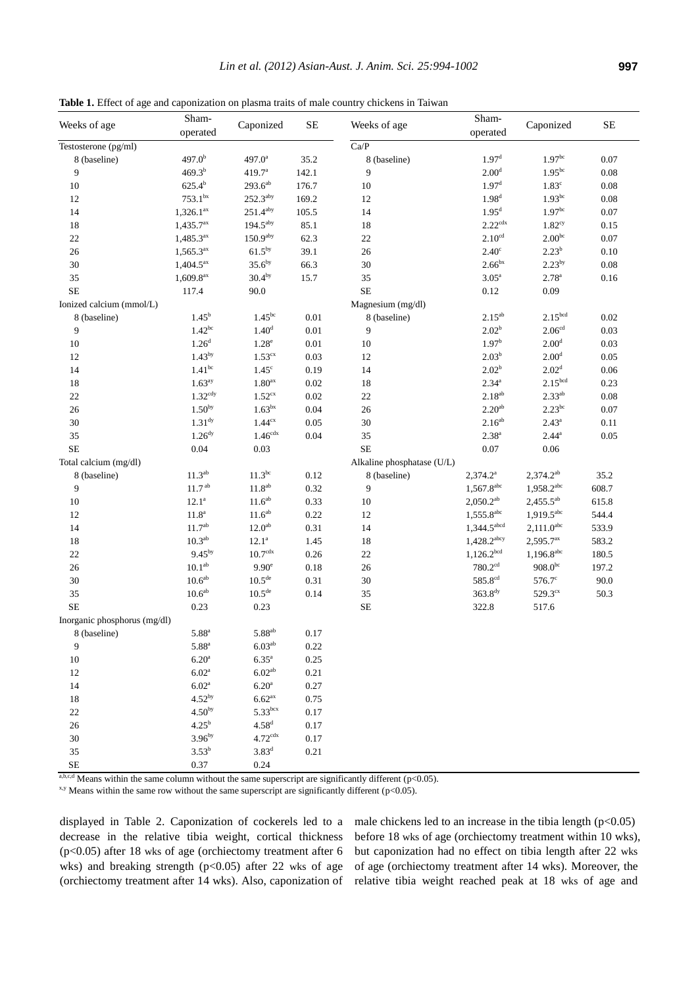**Table 1.** Effect of age and caponization on plasma traits of male country chickens in Taiwan

| Weeks of age                 | Sham-<br>operated       | Caponized              | SE       | Weeks of age               | Sham-                     |                          | SE       |
|------------------------------|-------------------------|------------------------|----------|----------------------------|---------------------------|--------------------------|----------|
|                              |                         |                        |          |                            | operated                  | Caponized                |          |
| Testosterone (pg/ml)         |                         |                        |          | $\overline{Ca/P}$          |                           |                          |          |
| 8 (baseline)                 | 497.0 <sup>b</sup>      | $497.0^{\circ}$        | 35.2     | 8 (baseline)               | 1.97 <sup>d</sup>         | 1.97 <sup>bc</sup>       | 0.07     |
| 9                            | $469.3^{b}$             | 419.7 <sup>a</sup>     | 142.1    | 9                          | 2.00 <sup>d</sup>         | $1.95^{bc}$              | $0.08\,$ |
| 10                           | $625.4^{b}$             | $293.6^{ab}$           | 176.7    | $10\,$                     | 1.97 <sup>d</sup>         | 1.83 <sup>c</sup>        | $0.08\,$ |
| 12                           | $753.1^{bx}$            | $252.3$ <sup>aby</sup> | 169.2    | 12                         | 1.98 <sup>d</sup>         | $1.93^{bc}$              | $0.08\,$ |
| 14                           | $1,326.1^{ax}$          | 251.4 <sup>aby</sup>   | 105.5    | 14                         | 1.95 <sup>d</sup>         | 1.97 <sup>bc</sup>       | $0.07\,$ |
| 18                           | $1,435.7^{ax}$          | $194.5$ <sup>aby</sup> | 85.1     | 18                         | $2.22$ <sup>cdx</sup>     | 1.82 <sup>cy</sup>       | 0.15     |
| $22\,$                       | $1,485.3^{ax}$          | 150.9 <sup>aby</sup>   | 62.3     | $22\,$                     | 2.10 <sup>cd</sup>        | $2.00^{bc}$              | $0.07\,$ |
| 26                           | $1,565.3^{ax}$          | $61.5^{\rm by}$        | 39.1     | $26\,$                     | $2.40^\circ$              | $2.23^{b}$               | $0.10\,$ |
| $30\,$                       | $1,404.5^{ax}$          | 35.6 <sup>by</sup>     | 66.3     | 30                         | 2.66 <sup>bx</sup>        | $2.23^{by}$              | $0.08\,$ |
| 35                           | $1,609.8$ <sup>ax</sup> | 30.4 <sup>by</sup>     | 15.7     | 35                         | 3.05 <sup>a</sup>         | $2.78^{a}$               | $0.16\,$ |
| <b>SE</b>                    | 117.4                   | 90.0                   |          | $\rm SE$                   | 0.12                      | 0.09                     |          |
| Ionized calcium (mmol/L)     |                         |                        |          | Magnesium (mg/dl)          |                           |                          |          |
| 8 (baseline)                 | $1.45^{b}$              | 1.45 <sup>bc</sup>     | 0.01     | 8 (baseline)               | $2.15^{ab}$               | $2.15^{\rm bcd}$         | 0.02     |
| 9                            | $1.42^{bc}$             | 1.40 <sup>d</sup>      | 0.01     | 9                          | $2.02^{\rm b}$            | 2.06 <sup>cd</sup>       | 0.03     |
| $10\,$                       | 1.26 <sup>d</sup>       | $1.28^e$               | $0.01\,$ | $10\,$                     | $1.97^{b}$                | 2.00 <sup>d</sup>        | 0.03     |
| 12                           | $1.43^{by}$             | 1.53 <sup>cx</sup>     | 0.03     | $12\,$                     | 2.03 <sup>b</sup>         | 2.00 <sup>d</sup>        | $0.05\,$ |
| 14                           | $1.41^{bc}$             | $1.45^\circ$           | 0.19     | 14                         | 2.02 <sup>b</sup>         | 2.02 <sup>d</sup>        | $0.06\,$ |
| 18                           | 1.63 <sup>ay</sup>      | $1.80^{\rm ax}$        | $0.02\,$ | $18\,$                     | $2.34^{a}$                | 2.15 <sup>bcd</sup>      | 0.23     |
| $22\,$                       | $1.32^{\text{cdy}}$     | 1.52 <sup>cx</sup>     | $0.02\,$ | $22\,$                     | $2.18^{ab}$               | $2.33^{ab}$              | $0.08\,$ |
| 26                           | $1.50^{by}$             | 1.63 <sup>bx</sup>     | $0.04\,$ | $26\,$                     | 2.20 <sup>ab</sup>        | $2.23^{bc}$              | $0.07\,$ |
| $30\,$                       | $1.31^{dy}$             | 1.44 <sup>cx</sup>     | 0.05     | 30                         | $2.16^{ab}$               | $2.43^{\circ}$           | 0.11     |
| 35                           | 1.26 <sup>dy</sup>      | $1.46^{\rm cdx}$       | $0.04\,$ | 35                         | $2.38^{a}$                | $2.44^{\rm a}$           | 0.05     |
| $\rm SE$                     | 0.04                    | 0.03                   |          | <b>SE</b>                  | 0.07                      | 0.06                     |          |
| Total calcium (mg/dl)        |                         |                        |          | Alkaline phosphatase (U/L) |                           |                          |          |
| 8 (baseline)                 | $11.3^{ab}$             | $11.3^{bc}$            | 0.12     | 8 (baseline)               | $2,374.2^a$               | $2,374.2^{ab}$           | 35.2     |
| 9                            | 11.7 <sup>ab</sup>      | 11.8 <sup>ab</sup>     | 0.32     | 9                          | $1,567.8$ <sup>abc</sup>  | $1,958.2^{abc}$          | 608.7    |
| 10                           | $12.1^a$                | 11.6 <sup>ab</sup>     | 0.33     | $10\,$                     | $2,050.2^{ab}$            | $2,455.5^{ab}$           | 615.8    |
| 12                           | $11.8^{\rm a}$          | 11.6 <sup>ab</sup>     | 0.22     | 12                         | $1,555.8$ <sup>abc</sup>  | $1,919.5^{abc}$          | 544.4    |
| 14                           | 11.7 <sup>ab</sup>      | 12.0 <sup>ab</sup>     | 0.31     | 14                         | $1,344.5$ <sup>abcd</sup> | $2,111.0$ <sup>abc</sup> | 533.9    |
| $18\,$                       | $10.3^{ab}$             | $12.1^a$               | 1.45     | $18\,$                     | $1,428.2$ <sup>abcy</sup> | $2,595.7$ <sup>ax</sup>  | 583.2    |
| $22\,$                       | $9.45^{by}$             | 10.7 <sup>cdx</sup>    | 0.26     | $22\,$                     | $1,126.2^{bcd}$           | $1,196.8^{abc}$          | 180.5    |
| 26                           | 10.1 <sup>ab</sup>      | $9.90^{\circ}$         | $0.18\,$ | $26\,$                     | $780.2^{\rm cd}$          | $908.0^{bc}$             | 197.2    |
| $30\,$                       | 10.6 <sup>ab</sup>      | $10.5^{\text{de}}$     | 0.31     | 30                         | $585.8^{cd}$              | $576.7^{\circ}$          | 90.0     |
| 35                           | $10.6^{\rm ab}$         | $10.5^{\rm de}$        | 0.14     | 35                         | $363.8^{dy}$              | $529.3^{\text{cx}}$      | 50.3     |
| $\rm SE$                     | 0.23                    | 0.23                   |          | $\rm SE$                   | 322.8                     | 517.6                    |          |
| Inorganic phosphorus (mg/dl) |                         |                        |          |                            |                           |                          |          |
| 8 (baseline)                 | $5.88$ <sup>a</sup>     | 5.88 <sup>ab</sup>     | 0.17     |                            |                           |                          |          |
| 9                            | $5.88^{\rm a}$          | $6.03^{ab}$            | 0.22     |                            |                           |                          |          |
| $10\,$                       | 6.20 <sup>a</sup>       | $6.35^{\mathrm{a}}$    | 0.25     |                            |                           |                          |          |
| 12                           | 6.02 <sup>a</sup>       | 6.02 <sup>ab</sup>     | 0.21     |                            |                           |                          |          |
| 14                           | 6.02 <sup>a</sup>       | 6.20 <sup>a</sup>      | 0.27     |                            |                           |                          |          |
| 18                           | $4.52^{by}$             | 6.62 <sup>ax</sup>     | 0.75     |                            |                           |                          |          |
| $22\,$                       | 4.50 <sup>by</sup>      | 5.33 <sup>bcx</sup>    | 0.17     |                            |                           |                          |          |
| 26                           | $4.25^{b}$              | $4.58^{\rm d}$         | 0.17     |                            |                           |                          |          |
| $30\,$                       | 3.96 <sup>by</sup>      | $4.72$ <sup>cdx</sup>  | 0.17     |                            |                           |                          |          |
| 35                           | $3.53^{b}$              | $3.83^{\rm d}$         | 0.21     |                            |                           |                          |          |
| <b>SE</b>                    | 0.37                    | 0.24                   |          |                            |                           |                          |          |
|                              |                         |                        |          |                            |                           |                          |          |

 $a, b, c, d$  Means within the same column without the same superscript are significantly different (p<0.05).

 $x,y$  Means within the same row without the same superscript are significantly different (p<0.05).

displayed in Table 2. Caponization of cockerels led to a decrease in the relative tibia weight, cortical thickness (p<0.05) after 18 wks of age (orchiectomy treatment after 6 wks) and breaking strength  $(p<0.05)$  after 22 wks of age (orchiectomy treatment after 14 wks). Also, caponization of male chickens led to an increase in the tibia length  $(p<0.05)$ before 18 wks of age (orchiectomy treatment within 10 wks), but caponization had no effect on tibia length after 22 wks of age (orchiectomy treatment after 14 wks). Moreover, the relative tibia weight reached peak at 18 wks of age and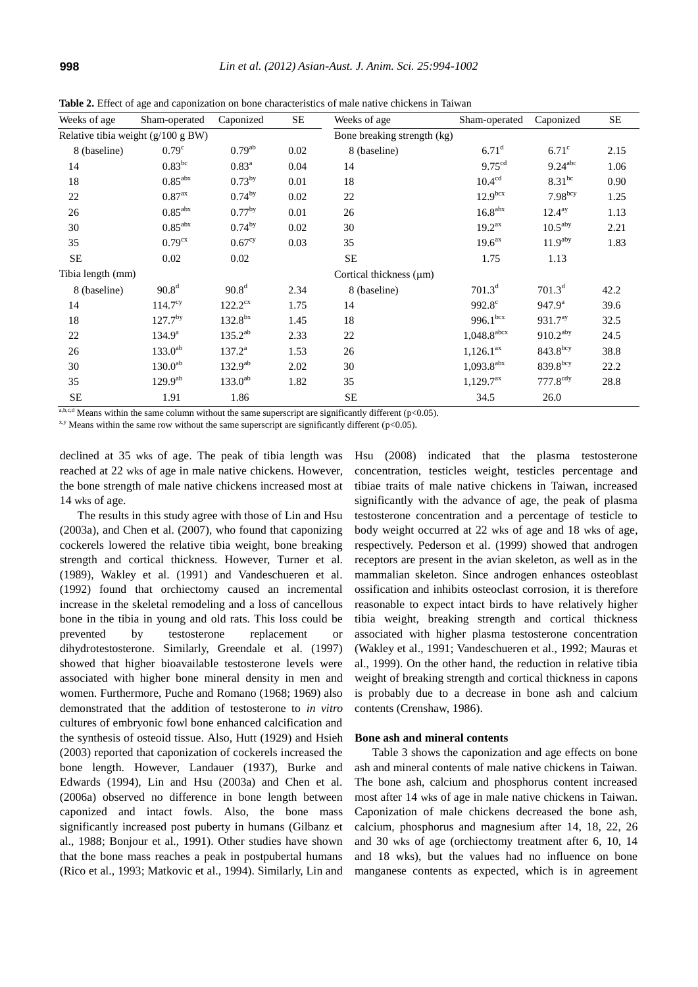| Weeks of age                       | Sham-operated         | Caponized           | <b>SE</b>                   | Weeks of age                 | Sham-operated             | Caponized              | <b>SE</b> |
|------------------------------------|-----------------------|---------------------|-----------------------------|------------------------------|---------------------------|------------------------|-----------|
| Relative tibia weight (g/100 g BW) |                       |                     | Bone breaking strength (kg) |                              |                           |                        |           |
| 8 (baseline)                       | 0.79 <sup>c</sup>     | $0.79^{ab}$         | 0.02                        | 8 (baseline)                 | $6.71$ <sup>d</sup>       | $6.71^\circ$           | 2.15      |
| 14                                 | $0.83^{bc}$           | 0.83 <sup>a</sup>   | 0.04                        | 14                           | 9.75 <sup>cd</sup>        | $9.24$ <sup>abc</sup>  | 1.06      |
| 18                                 | $0.85^{\rm abx}$      | $0.73^{by}$         | 0.01                        | 18                           | 10.4 <sup>cd</sup>        | $8.31^{bc}$            | 0.90      |
| 22                                 | 0.87 <sup>ax</sup>    | $0.74^{by}$         | 0.02                        | 22                           | 12.9 <sup>bcx</sup>       | $7.98^{bcy}$           | 1.25      |
| 26                                 | $0.85$ <sup>abx</sup> | 0.77 <sup>by</sup>  | 0.01                        | 26                           | $16.8$ <sup>abx</sup>     | $12.4^{ay}$            | 1.13      |
| 30                                 | $0.85^{\text{abs}}$   | $0.74^{by}$         | 0.02                        | 30                           | 19.2 <sup>ax</sup>        | 10.5 <sup>aby</sup>    | 2.21      |
| 35                                 | 0.79 <sup>cx</sup>    | 0.67 <sup>cy</sup>  | 0.03                        | 35                           | 19.6 <sup>ax</sup>        | 11.9 <sup>aby</sup>    | 1.83      |
| SE                                 | 0.02                  | 0.02                |                             | <b>SE</b>                    | 1.75                      | 1.13                   |           |
| Tibia length (mm)                  |                       |                     |                             | Cortical thickness $(\mu m)$ |                           |                        |           |
| 8 (baseline)                       | 90.8 <sup>d</sup>     | 90.8 <sup>d</sup>   | 2.34                        | 8 (baseline)                 | $701.3^d$                 | $701.3^d$              | 42.2      |
| 14                                 | 114.7 <sup>cy</sup>   | $122.2^{\text{cx}}$ | 1.75                        | 14                           | 992.8 <sup>c</sup>        | 947.9 <sup>a</sup>     | 39.6      |
| 18                                 | $127.7^{by}$          | $132.8^{bx}$        | 1.45                        | 18                           | $996.1^{box}$             | 931.7 <sup>ay</sup>    | 32.5      |
| 22                                 | $134.9^{\rm a}$       | $135.2^{ab}$        | 2.33                        | 22                           | $1,048.8$ <sup>abcx</sup> | $910.2$ <sup>aby</sup> | 24.5      |
| 26                                 | $133.0^{ab}$          | $137.2^a$           | 1.53                        | 26                           | $1,126.1^{ax}$            | $843.8$ <sup>bcy</sup> | 38.8      |
| 30                                 | 130.0 <sup>ab</sup>   | $132.9^{ab}$        | 2.02                        | 30                           | $1,093.8$ <sup>abx</sup>  | $839.8$ bcy            | 22.2      |
| 35                                 | $129.9^{ab}$          | $133.0^{ab}$        | 1.82                        | 35                           | $1,129.7^{ax}$            | $777.8$ <sup>cdy</sup> | 28.8      |
| <b>SE</b>                          | 1.91                  | 1.86                |                             | <b>SE</b>                    | 34.5                      | 26.0                   |           |

**Table 2.** Effect of age and caponization on bone characteristics of male native chickens in Taiwan

a,b,c,d Means within the same column without the same superscript are significantly different (p<0.05).

 $x,y$  Means within the same row without the same superscript are significantly different (p<0.05).

declined at 35 wks of age. The peak of tibia length was reached at 22 wks of age in male native chickens. However, the bone strength of male native chickens increased most at 14 wks of age.

The results in this study agree with those of Lin and Hsu (2003a), and Chen et al. (2007), who found that caponizing cockerels lowered the relative tibia weight, bone breaking strength and cortical thickness. However, Turner et al. (1989), Wakley et al. (1991) and Vandeschueren et al. (1992) found that orchiectomy caused an incremental increase in the skeletal remodeling and a loss of cancellous bone in the tibia in young and old rats. This loss could be prevented by testosterone replacement or dihydrotestosterone. Similarly, Greendale et al. (1997) showed that higher bioavailable testosterone levels were associated with higher bone mineral density in men and women. Furthermore, Puche and Romano (1968; 1969) also demonstrated that the addition of testosterone to *in vitro*  cultures of embryonic fowl bone enhanced calcification and the synthesis of osteoid tissue. Also, Hutt (1929) and Hsieh (2003) reported that caponization of cockerels increased the bone length. However, Landauer (1937), Burke and Edwards (1994), Lin and Hsu (2003a) and Chen et al. (2006a) observed no difference in bone length between caponized and intact fowls. Also, the bone mass significantly increased post puberty in humans (Gilbanz et al., 1988; Bonjour et al., 1991). Other studies have shown that the bone mass reaches a peak in postpubertal humans (Rico et al., 1993; Matkovic et al., 1994). Similarly, Lin and

Hsu (2008) indicated that the plasma testosterone concentration, testicles weight, testicles percentage and tibiae traits of male native chickens in Taiwan, increased significantly with the advance of age, the peak of plasma testosterone concentration and a percentage of testicle to body weight occurred at 22 wks of age and 18 wks of age, respectively. Pederson et al. (1999) showed that androgen receptors are present in the avian skeleton, as well as in the mammalian skeleton. Since androgen enhances osteoblast ossification and inhibits osteoclast corrosion, it is therefore reasonable to expect intact birds to have relatively higher tibia weight, breaking strength and cortical thickness associated with higher plasma testosterone concentration (Wakley et al., 1991; Vandeschueren et al., 1992; Mauras et al., 1999). On the other hand, the reduction in relative tibia weight of breaking strength and cortical thickness in capons is probably due to a decrease in bone ash and calcium contents (Crenshaw, 1986).

# **Bone ash and mineral contents**

Table 3 shows the caponization and age effects on bone ash and mineral contents of male native chickens in Taiwan. The bone ash, calcium and phosphorus content increased most after 14 wks of age in male native chickens in Taiwan. Caponization of male chickens decreased the bone ash, calcium, phosphorus and magnesium after 14, 18, 22, 26 and 30 wks of age (orchiectomy treatment after 6, 10, 14 and 18 wks), but the values had no influence on bone manganese contents as expected, which is in agreement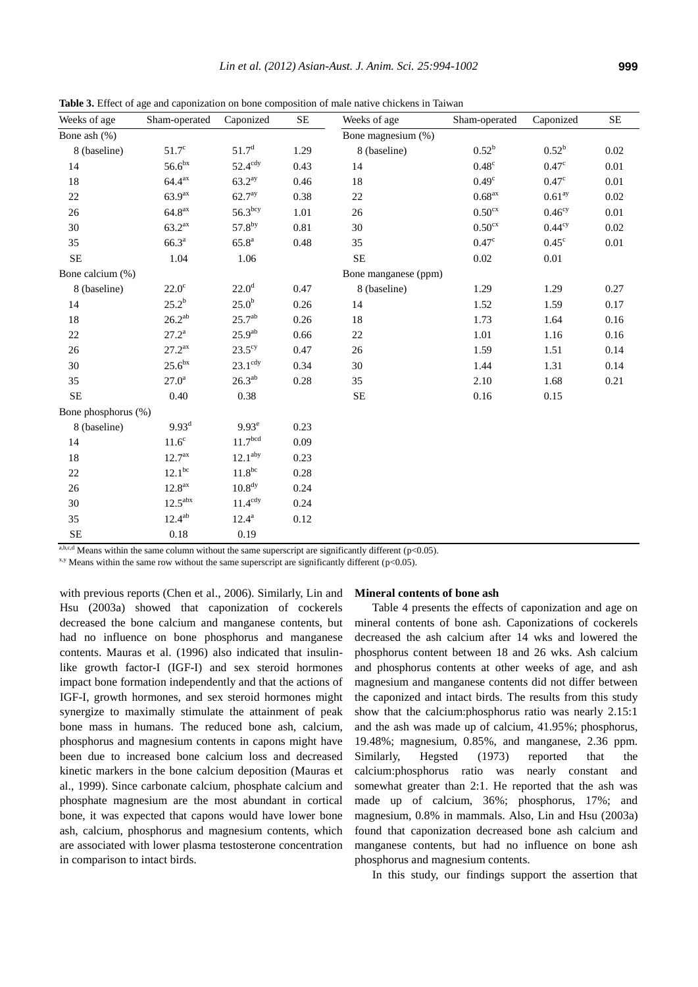**Table 3.** Effect of age and caponization on bone composition of male native chickens in Taiwan

| Weeks of age        | Sham-operated         | Caponized           | $\rm SE$ | Weeks of age       | Sham-operated      | Caponized          | SE   |
|---------------------|-----------------------|---------------------|----------|--------------------|--------------------|--------------------|------|
| Bone ash (%)        |                       |                     |          | Bone magnesium (%) |                    |                    |      |
| 8 (baseline)        | $51.7^\circ$          | $51.7^{\rm d}$      | 1.29     | 8 (baseline)       | $0.52^{\rm b}$     | $0.52^{\rm b}$     | 0.02 |
| 14                  | $56.6^{bx}$           | $52.4^{\text{cdy}}$ | 0.43     | 14                 | $0.48^{\circ}$     | $0.47^{\circ}$     | 0.01 |
| 18                  | 64.4 <sup>ax</sup>    | 63.2 <sup>ay</sup>  | 0.46     | 18                 | 0.49 <sup>c</sup>  | $0.47^{\circ}$     | 0.01 |
| $22\,$              | 63.9 <sup>ax</sup>    | 62.7 <sup>ay</sup>  | 0.38     | 22                 | 0.68 <sup>ax</sup> | 0.61 <sup>ay</sup> | 0.02 |
| $26\,$              | 64.8 <sup>ax</sup>    | 56.3 <sup>bcy</sup> | 1.01     | 26                 | 0.50 <sup>cx</sup> | $0.46^{\text{cy}}$ | 0.01 |
| 30                  | 63.2 <sup>ax</sup>    | 57.8by              | 0.81     | 30                 | 0.50 <sup>cx</sup> | 0.44 <sup>cy</sup> | 0.02 |
| 35                  | 66.3 <sup>a</sup>     | $65.8^{\rm a}$      | 0.48     | 35                 | 0.47 <sup>c</sup>  | $0.45^{\circ}$     | 0.01 |
| $\rm SE$            | 1.04                  | 1.06                |          | SE                 | 0.02               | $0.01\,$           |      |
| Bone calcium (%)    | Bone manganese (ppm)  |                     |          |                    |                    |                    |      |
| 8 (baseline)        | $22.0^\circ$          | 22.0 <sup>d</sup>   | 0.47     | 8 (baseline)       | 1.29               | 1.29               | 0.27 |
| 14                  | $25.2^b$              | $25.0^{\rm b}$      | 0.26     | 14                 | 1.52               | 1.59               | 0.17 |
| 18                  | $26.2^{ab}$           | 25.7 <sup>ab</sup>  | 0.26     | 18                 | 1.73               | 1.64               | 0.16 |
| 22                  | $27.2^{\rm a}$        | $25.9^{ab}$         | 0.66     | 22                 | 1.01               | 1.16               | 0.16 |
| $26\,$              | $27.2^{ax}$           | $23.5^{\text{cy}}$  | 0.47     | $26\,$             | 1.59               | 1.51               | 0.14 |
| 30                  | 25.6 <sup>bx</sup>    | $23.1^{\text{cdy}}$ | 0.34     | 30                 | 1.44               | 1.31               | 0.14 |
| 35                  | $27.0^{\rm a}$        | $26.3^{ab}$         | 0.28     | 35                 | 2.10               | 1.68               | 0.21 |
| SE                  | 0.40                  | 0.38                |          | $\rm SE$           | 0.16               | 0.15               |      |
| Bone phosphorus (%) |                       |                     |          |                    |                    |                    |      |
| 8 (baseline)        | $9.93^{\rm d}$        | $9.93^e$            | 0.23     |                    |                    |                    |      |
| 14                  | $11.6^{\circ}$        | 11.7 <sup>bcd</sup> | 0.09     |                    |                    |                    |      |
| 18                  | 12.7 <sup>ax</sup>    | 12.1 <sup>aby</sup> | 0.23     |                    |                    |                    |      |
| $22\,$              | 12.1 <sup>bc</sup>    | $11.8^{bc}$         | 0.28     |                    |                    |                    |      |
| $26\,$              | $12.8^{\rm ax}$       | $10.8^{\rm dy}$     | 0.24     |                    |                    |                    |      |
| 30                  | $12.5$ <sup>abx</sup> | $11.4^{\text{cdy}}$ | 0.24     |                    |                    |                    |      |
| 35                  | $12.4^{ab}$           | $12.4^{\rm a}$      | 0.12     |                    |                    |                    |      |
| $\rm SE$            | 0.18                  | 0.19                |          |                    |                    |                    |      |

 $a, b, c, d$  Means within the same column without the same superscript are significantly different (p<0.05).

 $x,y$  Means within the same row without the same superscript are significantly different ( $p<0.05$ ).

with previous reports (Chen et al., 2006). Similarly, Lin and Hsu (2003a) showed that caponization of cockerels decreased the bone calcium and manganese contents, but had no influence on bone phosphorus and manganese contents. Mauras et al. (1996) also indicated that insulinlike growth factor-I (IGF-I) and sex steroid hormones impact bone formation independently and that the actions of IGF-I, growth hormones, and sex steroid hormones might synergize to maximally stimulate the attainment of peak bone mass in humans. The reduced bone ash, calcium, phosphorus and magnesium contents in capons might have been due to increased bone calcium loss and decreased kinetic markers in the bone calcium deposition (Mauras et al., 1999). Since carbonate calcium, phosphate calcium and phosphate magnesium are the most abundant in cortical bone, it was expected that capons would have lower bone ash, calcium, phosphorus and magnesium contents, which are associated with lower plasma testosterone concentration in comparison to intact birds.

### **Mineral contents of bone ash**

Table 4 presents the effects of caponization and age on mineral contents of bone ash. Caponizations of cockerels decreased the ash calcium after 14 wks and lowered the phosphorus content between 18 and 26 wks. Ash calcium and phosphorus contents at other weeks of age, and ash magnesium and manganese contents did not differ between the caponized and intact birds. The results from this study show that the calcium:phosphorus ratio was nearly 2.15:1 and the ash was made up of calcium, 41.95%; phosphorus, 19.48%; magnesium, 0.85%, and manganese, 2.36 ppm. Similarly, Hegsted (1973) reported that the calcium:phosphorus ratio was nearly constant and somewhat greater than 2:1. He reported that the ash was made up of calcium, 36%; phosphorus, 17%; and magnesium, 0.8% in mammals. Also, Lin and Hsu (2003a) found that caponization decreased bone ash calcium and manganese contents, but had no influence on bone ash phosphorus and magnesium contents.

In this study, our findings support the assertion that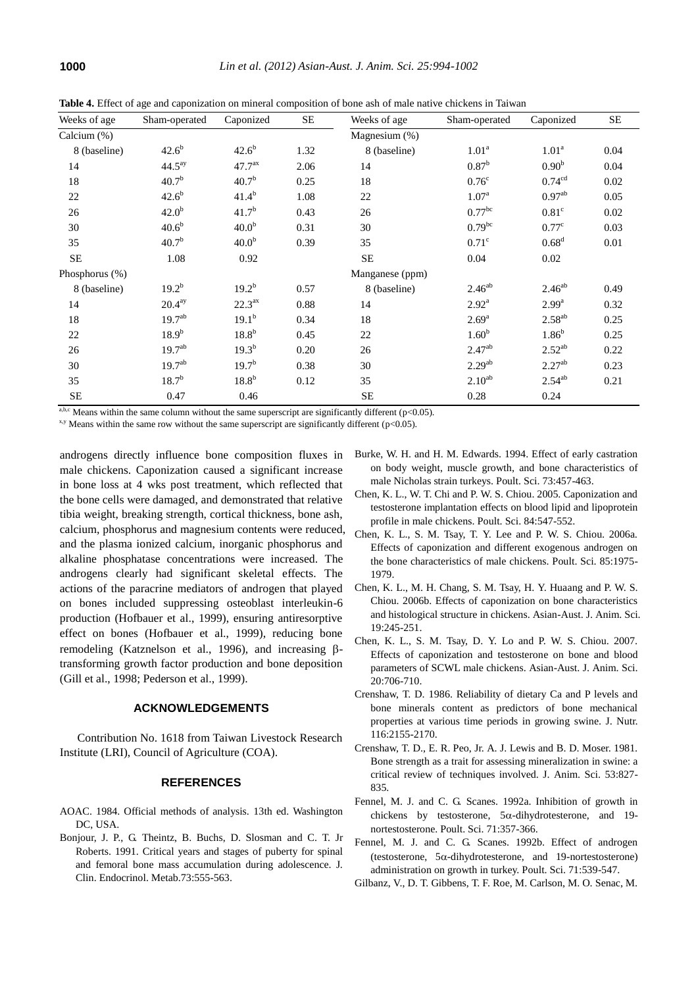| Weeks of age   | Sham-operated      | Caponized          | SE   | Weeks of age    | Sham-operated        | Caponized          | $\rm SE$ |
|----------------|--------------------|--------------------|------|-----------------|----------------------|--------------------|----------|
| Calcium (%)    |                    |                    |      | Magnesium (%)   |                      |                    |          |
| 8 (baseline)   | $42.6^{b}$         | $42.6^{b}$         | 1.32 | 8 (baseline)    | 1.01 <sup>a</sup>    | 1.01 <sup>a</sup>  | 0.04     |
| 14             | 44.5 <sup>ay</sup> | 47.7 <sup>ax</sup> | 2.06 | 14              | $0.87^{\rm b}$       | 0.90 <sup>b</sup>  | 0.04     |
| 18             | $40.7^{b}$         | $40.7^{b}$         | 0.25 | 18              | 0.76 <sup>c</sup>    | 0.74 <sup>cd</sup> | 0.02     |
| $22\,$         | $42.6^{b}$         | $41.4^{b}$         | 1.08 | 22              | 1.07 <sup>a</sup>    | $0.97^{ab}$        | 0.05     |
| 26             | 42.0 <sup>b</sup>  | 41.7 <sup>b</sup>  | 0.43 | 26              | $0.77$ <sup>bc</sup> | 0.81 <sup>c</sup>  | 0.02     |
| 30             | $40.6^{b}$         | 40.0 <sup>b</sup>  | 0.31 | 30              | $0.79^{bc}$          | 0.77 <sup>c</sup>  | 0.03     |
| 35             | $40.7^{b}$         | 40.0 <sup>b</sup>  | 0.39 | 35              | $0.71^\circ$         | 0.68 <sup>d</sup>  | 0.01     |
| <b>SE</b>      | 1.08               | 0.92               |      | $\rm SE$        | 0.04                 | 0.02               |          |
| Phosphorus (%) |                    |                    |      | Manganese (ppm) |                      |                    |          |
| 8 (baseline)   | $19.2^{b}$         | $19.2^{b}$         | 0.57 | 8 (baseline)    | $2.46^{ab}$          | $2.46^{ab}$        | 0.49     |
| 14             | 20.4 <sup>ay</sup> | 22.3 <sup>ax</sup> | 0.88 | 14              | $2.92^{\text{a}}$    | $2.99^{\rm a}$     | 0.32     |
| 18             | 19.7 <sup>ab</sup> | $19.1^{b}$         | 0.34 | 18              | $2.69^{\rm a}$       | $2.58^{ab}$        | 0.25     |
| 22             | $18.9^{b}$         | 18.8 <sup>b</sup>  | 0.45 | 22              | 1.60 <sup>b</sup>    | 1.86 <sup>b</sup>  | 0.25     |
| 26             | 19.7 <sup>ab</sup> | $19.3^{b}$         | 0.20 | 26              | $2.47^{ab}$          | $2.52^{ab}$        | 0.22     |
| 30             | 19.7 <sup>ab</sup> | 19.7 <sup>b</sup>  | 0.38 | 30              | 2.29 <sup>ab</sup>   | $2.27^{ab}$        | 0.23     |
| 35             | $18.7^{b}$         | 18.8 <sup>b</sup>  | 0.12 | 35              | $2.10^{ab}$          | $2.54^{ab}$        | 0.21     |
| <b>SE</b>      | 0.47               | 0.46               |      | SE              | 0.28                 | 0.24               |          |

**Table 4.** Effect of age and caponization on mineral composition of bone ash of male native chickens in Taiwan

a,b,c Means within the same column without the same superscript are significantly different ( $p$ <0.05).

 $x,y$  Means within the same row without the same superscript are significantly different ( $p<0.05$ ).

androgens directly influence bone composition fluxes in male chickens. Caponization caused a significant increase in bone loss at 4 wks post treatment, which reflected that the bone cells were damaged, and demonstrated that relative tibia weight, breaking strength, cortical thickness, bone ash, calcium, phosphorus and magnesium contents were reduced, and the plasma ionized calcium, inorganic phosphorus and alkaline phosphatase concentrations were increased. The androgens clearly had significant skeletal effects. The actions of the paracrine mediators of androgen that played on bones included suppressing osteoblast interleukin-6 production (Hofbauer et al., 1999), ensuring antiresorptive effect on bones (Hofbauer et al., 1999), reducing bone remodeling (Katznelson et al., 1996), and increasing  $\beta$ transforming growth factor production and bone deposition (Gill et al., 1998; Pederson et al., 1999).

# **ACKNOWLEDGEMENTS**

Contribution No. 1618 from Taiwan Livestock Research Institute (LRI), Council of Agriculture (COA).

#### **REFERENCES**

- AOAC. 1984. Official methods of analysis. 13th ed. Washington DC, USA.
- Bonjour, J. P., G. Theintz, B. Buchs, D. Slosman and C. T. Jr Roberts. 1991. Critical years and stages of puberty for spinal and femoral bone mass accumulation during adolescence. J. Clin. Endocrinol. Metab.73:555-563.
- Burke, W. H. and H. M. Edwards. 1994. Effect of early castration on body weight, muscle growth, and bone characteristics of male Nicholas strain turkeys. Poult. Sci. 73:457-463.
- Chen, K. L., W. T. Chi and P. W. S. Chiou. 2005. Caponization and testosterone implantation effects on blood lipid and lipoprotein profile in male chickens. Poult. Sci. 84:547-552.
- Chen, K. L., S. M. Tsay, T. Y. Lee and P. W. S. Chiou. 2006a. Effects of caponization and different exogenous androgen on the bone characteristics of male chickens. Poult. Sci. 85:1975- 1979.
- Chen, K. L., M. H. Chang, S. M. Tsay, H. Y. Huaang and P. W. S. Chiou. 2006b. Effects of caponization on bone characteristics and histological structure in chickens. Asian-Aust. J. Anim. Sci. 19:245-251.
- Chen, K. L., S. M. Tsay, D. Y. Lo and P. W. S. Chiou. 2007. Effects of caponization and testosterone on bone and blood parameters of SCWL male chickens. Asian-Aust. J. Anim. Sci. 20:706-710.
- Crenshaw, T. D. 1986. Reliability of dietary Ca and P levels and bone minerals content as predictors of bone mechanical properties at various time periods in growing swine. J. Nutr. 116:2155-2170.
- Crenshaw, T. D., E. R. Peo, Jr. A. J. Lewis and B. D. Moser. 1981. Bone strength as a trait for assessing mineralization in swine: a critical review of techniques involved. J. Anim. Sci. 53:827- 835.
- Fennel, M. J. and C. G. Scanes. 1992a. Inhibition of growth in chickens by testosterone,  $5\alpha$ -dihydrotesterone, and 19nortestosterone. Poult. Sci. 71:357-366.
- Fennel, M. J. and C. G. Scanes. 1992b. Effect of androgen (testosterone,  $5\alpha$ -dihydrotesterone, and 19-nortestosterone) administration on growth in turkey. Poult. Sci. 71:539-547.
- Gilbanz, V., D. T. Gibbens, T. F. Roe, M. Carlson, M. O. Senac, M.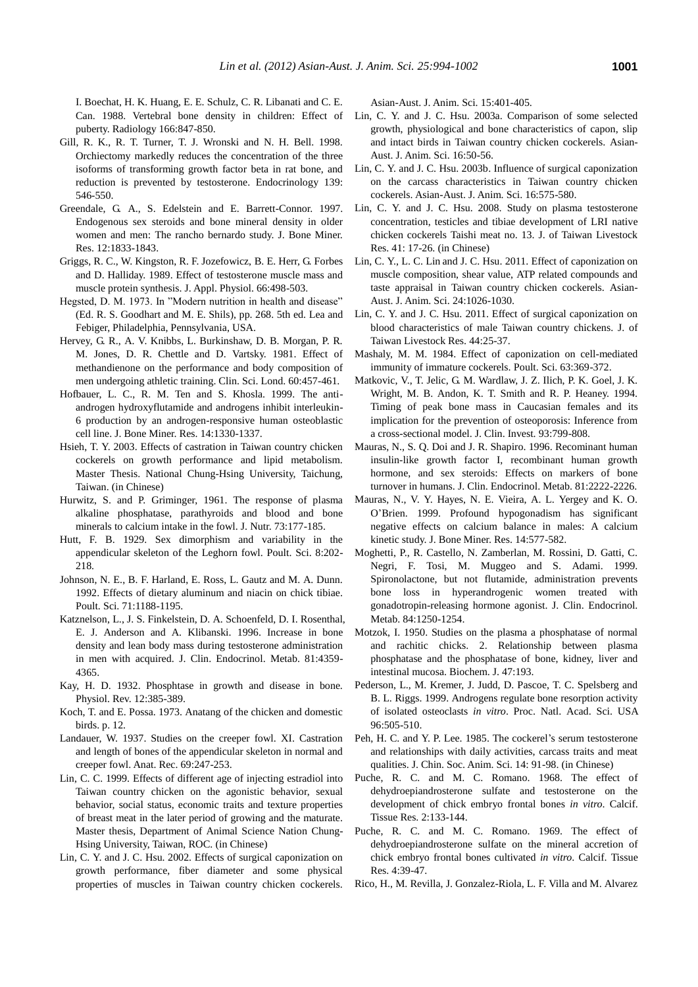I. Boechat, H. K. Huang, E. E. Schulz, C. R. Libanati and C. E. Can. 1988. Vertebral bone density in children: Effect of puberty. Radiology 166:847-850.

- Gill, R. K., R. T. Turner, T. J. Wronski and N. H. Bell. 1998. Orchiectomy markedly reduces the concentration of the three isoforms of transforming growth factor beta in rat bone, and reduction is prevented by testosterone. Endocrinology 139: 546-550.
- Greendale, G. A., S. Edelstein and E. Barrett-Connor. 1997. Endogenous sex steroids and bone mineral density in older women and men: The rancho bernardo study. J. Bone Miner. Res. 12:1833-1843.
- Griggs, R. C., W. Kingston, R. F. Jozefowicz, B. E. Herr, G. Forbes and D. Halliday. 1989. Effect of testosterone muscle mass and muscle protein synthesis. J. Appl. Physiol. 66:498-503.
- Hegsted, D. M. 1973. In "Modern nutrition in health and disease" (Ed. R. S. Goodhart and M. E. Shils), pp. 268. 5th ed. Lea and Febiger, Philadelphia, Pennsylvania, USA.
- Hervey, G. R., A. V. Knibbs, L. Burkinshaw, D. B. Morgan, P. R. M. Jones, D. R. Chettle and D. Vartsky. 1981. Effect of methandienone on the performance and body composition of men undergoing athletic training. Clin. Sci. Lond. 60:457-461.
- Hofbauer, L. C., R. M. Ten and S. Khosla. 1999. The antiandrogen hydroxyflutamide and androgens inhibit interleukin-6 production by an androgen-responsive human osteoblastic cell line. J. Bone Miner. Res. 14:1330-1337.
- Hsieh, T. Y. 2003. Effects of castration in Taiwan country chicken cockerels on growth performance and lipid metabolism. Master Thesis. National Chung-Hsing University, Taichung, Taiwan. (in Chinese)
- Hurwitz, S. and P. Griminger, 1961. The response of plasma alkaline phosphatase, parathyroids and blood and bone minerals to calcium intake in the fowl. J. Nutr. 73:177-185.
- Hutt, F. B. 1929. Sex dimorphism and variability in the appendicular skeleton of the Leghorn fowl. Poult. Sci. 8:202- 218.
- Johnson, N. E., B. F. Harland, E. Ross, L. Gautz and M. A. Dunn. 1992. Effects of dietary aluminum and niacin on chick tibiae. Poult. Sci. 71:1188-1195.
- Katznelson, L., J. S. Finkelstein, D. A. Schoenfeld, D. I. Rosenthal, E. J. Anderson and A. Klibanski. 1996. Increase in bone density and lean body mass during testosterone administration in men with acquired. J. Clin. Endocrinol. Metab. 81:4359- 4365.
- Kay, H. D. 1932. Phosphtase in growth and disease in bone. Physiol. Rev. 12:385-389.
- Koch, T. and E. Possa. 1973. Anatang of the chicken and domestic birds. p. 12.
- Landauer, W. 1937. Studies on the creeper fowl. XI. Castration and length of bones of the appendicular skeleton in normal and creeper fowl. Anat. Rec. 69:247-253.
- Lin, C. C. 1999. Effects of different age of injecting estradiol into Taiwan country chicken on the agonistic behavior, sexual behavior, social status, economic traits and texture properties of breast meat in the later period of growing and the maturate. Master thesis, Department of Animal Science Nation Chung-Hsing University, Taiwan, ROC. (in Chinese)
- Lin, C. Y. and J. C. Hsu. 2002. Effects of surgical caponization on growth performance, fiber diameter and some physical properties of muscles in Taiwan country chicken cockerels.

Asian-Aust. J. Anim. Sci. 15:401-405.

- Lin, C. Y. and J. C. Hsu. 2003a. Comparison of some selected growth, physiological and bone characteristics of capon, slip and intact birds in Taiwan country chicken cockerels. Asian-Aust. J. Anim. Sci. 16:50-56.
- Lin, C. Y. and J. C. Hsu. 2003b. Influence of surgical caponization on the carcass characteristics in Taiwan country chicken cockerels. Asian-Aust. J. Anim. Sci. 16:575-580.
- Lin, C. Y. and J. C. Hsu. 2008. Study on plasma testosterone concentration, testicles and tibiae development of LRI native chicken cockerels Taishi meat no. 13. J. of Taiwan Livestock Res. 41: 17-26. (in Chinese)
- Lin, C. Y., L. C. Lin and J. C. Hsu. 2011. Effect of caponization on muscle composition, shear value, ATP related compounds and taste appraisal in Taiwan country chicken cockerels. Asian-Aust. J. Anim. Sci. 24:1026-1030.
- Lin, C. Y. and J. C. Hsu. 2011. Effect of surgical caponization on blood characteristics of male Taiwan country chickens. J. of Taiwan Livestock Res. 44:25-37.
- Mashaly, M. M. 1984. Effect of caponization on cell-mediated immunity of immature cockerels. Poult. Sci. 63:369-372.
- Matkovic, V., T. Jelic, G. M. Wardlaw, J. Z. Ilich, P. K. Goel, J. K. Wright, M. B. Andon, K. T. Smith and R. P. Heaney. 1994. Timing of peak bone mass in Caucasian females and its implication for the prevention of osteoporosis: Inference from a cross-sectional model. J. Clin. Invest. 93:799-808.
- Mauras, N., S. Q. Doi and J. R. Shapiro. 1996. Recominant human insulin-like growth factor I, recombinant human growth hormone, and sex steroids: Effects on markers of bone turnover in humans. J. Clin. Endocrinol. Metab. 81:2222-2226.
- Mauras, N., V. Y. Hayes, N. E. Vieira, A. L. Yergey and K. O. O'Brien. 1999. Profound hypogonadism has significant negative effects on calcium balance in males: A calcium kinetic study. J. Bone Miner. Res. 14:577-582.
- Moghetti, P., R. Castello, N. Zamberlan, M. Rossini, D. Gatti, C. Negri, F. Tosi, M. Muggeo and S. Adami. 1999. Spironolactone, but not flutamide, administration prevents bone loss in hyperandrogenic women treated with gonadotropin-releasing hormone agonist. J. Clin. Endocrinol. Metab. 84:1250-1254.
- Motzok, I. 1950. Studies on the plasma a phosphatase of normal and rachitic chicks. 2. Relationship between plasma phosphatase and the phosphatase of bone, kidney, liver and intestinal mucosa. Biochem. J. 47:193.
- Pederson, L., M. Kremer, J. Judd, D. Pascoe, T. C. Spelsberg and B. L. Riggs. 1999. Androgens regulate bone resorption activity of isolated osteoclasts *in vitro*. Proc. Natl. Acad. Sci. USA 96:505-510.
- Peh, H. C. and Y. P. Lee. 1985. The cockerel's serum testosterone and relationships with daily activities, carcass traits and meat qualities. J. Chin. Soc. Anim. Sci. 14: 91-98. (in Chinese)
- Puche, R. C. and M. C. Romano. 1968. The effect of dehydroepiandrosterone sulfate and testosterone on the development of chick embryo frontal bones *in vitro*. Calcif. Tissue Res. 2:133-144.
- Puche, R. C. and M. C. Romano. 1969. The effect of dehydroepiandrosterone sulfate on the mineral accretion of chick embryo frontal bones cultivated *in vitro*. Calcif. Tissue Res. 4:39-47.
- Rico, H., M. Revilla, J. Gonzalez-Riola, L. F. Villa and M. Alvarez